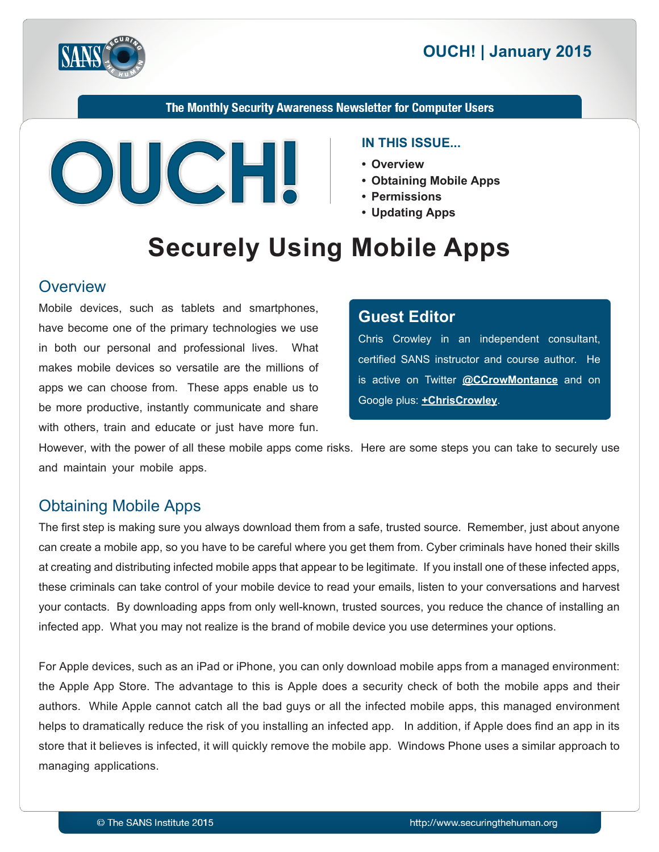



The Monthly Security Awareness Newsletter for Computer Users



#### **IN THIS ISSUE...**

- **Overview•**
- Obtaining Mobile Apps
- **Permissions•**
- Updating Apps

# **Securely Using Mobile Apps**

#### **Overview**

Mobile devices, such as tablets and smartphones, have become one of the primary technologies we use in both our personal and professional lives. What makes mobile devices so versatile are the millions of apps we can choose from. These apps enable us to be more productive, instantly communicate and share with others, train and educate or just have more fun.

## **Editor Guest**

Chris Crowley in an independent consultant, certified SANS instructor and course author. He is active on Twitter @[CCrowMontance](https://twitter.com/ccrowmontance) and on Google plus: **+ChrisCrowley**.

However, with the power of all these mobile apps come risks. Here are some steps you can take to securely use and maintain your mobile apps.

## **Obtaining Mobile Apps**

The first step is making sure you always download them from a safe, trusted source. Remember, just about anyone can create a mobile app, so you have to be careful where you get them from. Cyber criminals have honed their skills at creating and distributing infected mobile apps that appear to be legitimate. If you install one of these infected apps, these criminals can take control of your mobile device to read your emails, listen to your conversations and harvest your contacts. By downloading apps from only well-known, trusted sources, you reduce the chance of installing an infected app. What you may not realize is the brand of mobile device you use determines your options.

For Apple devices, such as an iPad or iPhone, you can only download mobile apps from a managed environment: the Apple App Store. The advantage to this is Apple does a security check of both the mobile apps and their authors. While Apple cannot catch all the bad guys or all the infected mobile apps, this managed environment helps to dramatically reduce the risk of you installing an infected app. In addition, if Apple does find an app in its store that it believes is infected, it will quickly remove the mobile app. Windows Phone uses a similar approach to managing applications.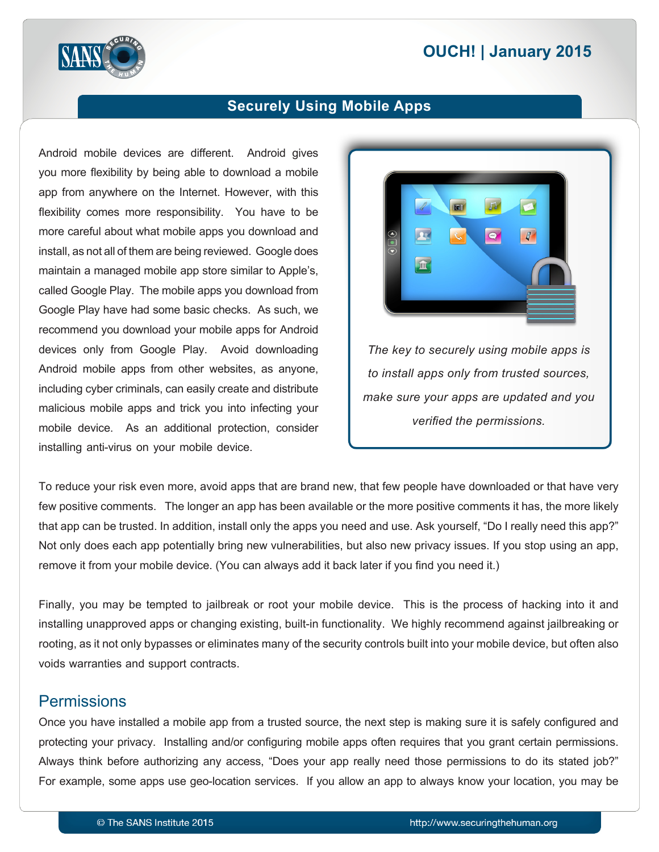# **2015 | OUCH! | January 2015**



## **Securely Using Mobile Apps**

Android mobile devices are different. Android gives you more flexibility by being able to download a mobile app from anywhere on the Internet. However, with this flexibility comes more responsibility. You have to be more careful about what mobile apps you download and install, as not all of them are being reviewed. Google does maintain a managed mobile app store similar to Apple's, called Google Play. The mobile apps you download from Google Play have had some basic checks. As such, we recommend you download your mobile apps for Android devices only from Google Play. Avoid downloading Android mobile apps from other websites, as anyone, including cyber criminals, can easily create and distribute malicious mobile apps and trick you into infecting your mobile device. As an additional protection, consider installing anti-virus on your mobile device.



The key to securely using mobile apps is *to install apps only from trusted sources, make sure your apps are updated and you verified the permissions.* 

To reduce your risk even more, avoid apps that are brand new, that few people have downloaded or that have very few positive comments. The longer an app has been available or the more positive comments it has, the more likely that app can be trusted. In addition, install only the apps you need and use. Ask yourself, "Do I really need this app?" Not only does each app potentially bring new vulnerabilities, but also new privacy issues. If you stop using an app, remove it from your mobile device. (You can always add it back later if you find you need it.)

Finally, you may be tempted to jailbreak or root your mobile device. This is the process of hacking into it and installing unapproved apps or changing existing, built-in functionality. We highly recommend against jailbreaking or rooting, as it not only bypasses or eliminates many of the security controls built into your mobile device, but often also voids warranties and support contracts.

#### **Permissions**

Once you have installed a mobile app from a trusted source, the next step is making sure it is safely configured and protecting your privacy. Installing and/or configuring mobile apps often requires that you grant certain permissions. Always think before authorizing any access, "Does your app really need those permissions to do its stated job?" For example, some apps use geo-location services. If you allow an app to always know your location, you may be